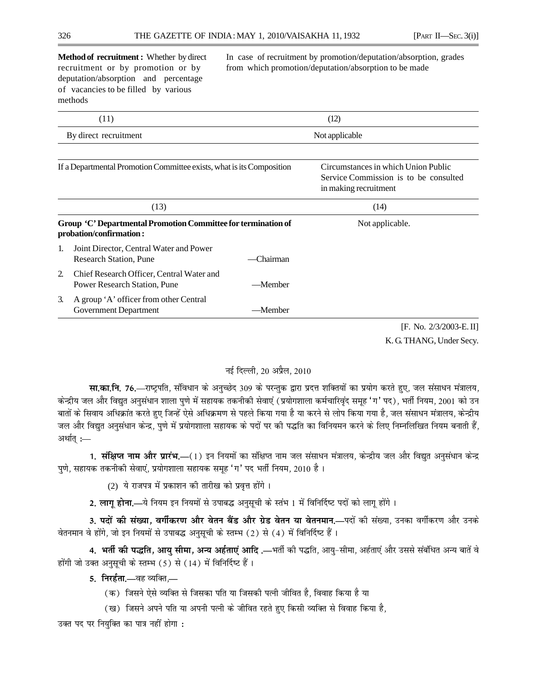deputation/absorption and percentage of vacancies to be filled by various methods

**Method of recruitment :** Whether by direct In case of recruitment by promotion/deputation/absorption, grades recruitment or by promotion or by from which promotion/deputation/absorption to be made

| (11) |                                                                                          | (12)      |                                                                                                       |  |  |
|------|------------------------------------------------------------------------------------------|-----------|-------------------------------------------------------------------------------------------------------|--|--|
|      | By direct recruitment                                                                    |           | Not applicable                                                                                        |  |  |
|      |                                                                                          |           |                                                                                                       |  |  |
|      | If a Departmental Promotion Committee exists, what is its Composition                    |           | Circumstances in which Union Public<br>Service Commission is to be consulted<br>in making recruitment |  |  |
|      | (13)                                                                                     |           | (14)                                                                                                  |  |  |
|      | Group 'C' Departmental Promotion Committee for termination of<br>probation/confirmation: |           | Not applicable.                                                                                       |  |  |
| 1.   | Joint Director, Central Water and Power<br><b>Research Station, Pune</b>                 | -Chairman |                                                                                                       |  |  |
| 2.   | Chief Research Officer, Central Water and<br><b>Power Research Station, Pune</b>         | -Member   |                                                                                                       |  |  |
| 3.   | A group 'A' officer from other Central<br>Government Department                          | —Member   |                                                                                                       |  |  |
|      |                                                                                          |           | $T$ $\bf{M}$ $\alpha$ $\alpha$ $\alpha$                                                               |  |  |

[F. No. 2/3/2003-E. II] K. G. THANG, Under Secy.

## नई दिल्ली. 20 अप्रैल. 2010

**सा.का.नि. 76.**—राष्ट्रपति, संविधान के अनुच्छेद 309 के परन्तुक द्वारा प्रदत्त शक्तियों का प्रयोग करते हुए, जल संसाधन मंत्रालय, केन्द्रीय जल और विद्युत अनुसंधान शाला पुणे में सहायक तकनीकी सेवाएं (प्रयोगशाला कर्मचारिवृंद समूह 'ग' पद), भर्ती नियम, 2001 को उन बातों के सिवाय अधिक्रांत करते हुए जिन्हें ऐसे अधिक्रमण से पहले किया गया है या करने से लोप किया गया है, जल संसाधन मंत्रालय, केन्द्रीय जल और विद्युत अनुसंधान केन्द्र, पुणे में प्रयोगशाला सहायक के पदों पर की पद्धति का विनियमन करने के लिए निम्नलिखित नियम बनाती हैं, अर्थात्  $\coloneq$ 

**1. <b>संक्षिप्त नाम और प्रारंभ.**—(1) इन नियमों का संक्षिप्त नाम जल संसाधन मंत्रालय, केन्द्रीय जल और विद्युत अनुसंधान केन्द्र पुणे, सहायक तकनीकी सेवाएं, प्रयोगशाला सहायक समूह 'ग' पद भर्ती नियम, 2010 है।

(2) ये राजपत्र में प्रकाशन की तारीख को प्रवृत्त होंगे।

<mark>2. लाग होना,—</mark>ये नियम इन नियमों से उपाबद्ध अनुसूची के स्तंभ 1 में विनिर्दिष्ट पदों को लाग होंगे ।

3. **पदों की संख्या, वर्गीकरण और वेतन बैंड और ग्रेड वेतन या वेतनमान.—पदों की संख्या, उनका वर्गीकरण और उनके** वेतनमान वे होंगे, जो इन नियमों से उपाबद्ध अनुसूची के स्तम्भ (2) से (4) में विनिर्दिष्ट हैं।

4. भर्ती की पद्धति, आयु सीमा, अन्य अर्हताएं आदि .—भर्ती की पद्धति, आयु-सीमा, अर्हताएं और उससे संबंधित अन्य बातें वे होंगी जो उक्त अनुसुची के स्तम्भ (5) से (14) में विनिर्दिष्ट हैं।

**5. निरर्हता.**—वह व्यक्ति,—

- (क) जिसने ऐसे व्यक्ति से जिसका पति या जिसकी पत्नी जीवित है, विवाह किया है या
- (ख) जिसने अपने पति या अपनी पत्नी के जीवित रहते हुए किसी व्यक्ति से विवाह किया है,

उक्त पद पर नियुक्ति का पात्र नहीं होगा :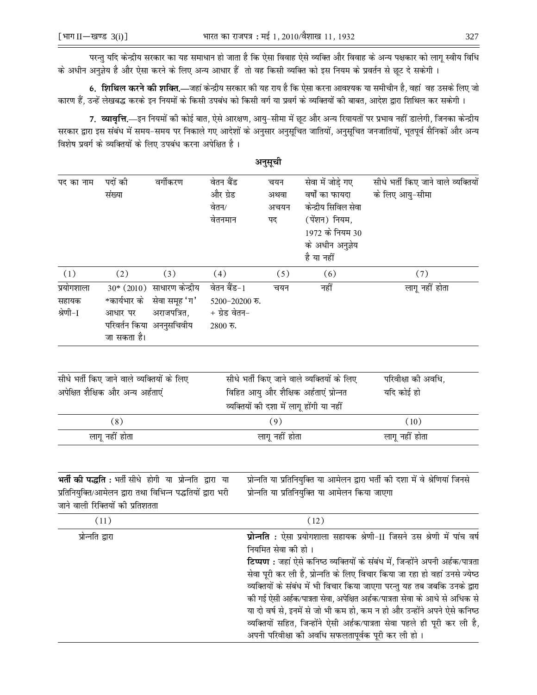परन्तु यदि केन्द्रीय सरकार का यह समाधान हो जाता है कि ऐसा विवाह ऐसे व्यक्ति और विवाह के अन्य पक्षकार को लागू स्वीय विधि के अधीन अनुज्ञेय है और ऐसा करने के लिए अन्य आधार हैं तो वह किसी व्यक्ति को इस नियम के प्रवर्तन से छूट दे सकेगी ।

6. **शिथिल करने की शक्ति.**—जहां केन्द्रीय सरकार की यह राय है कि ऐसा करना आवश्यक या समीचीन है, वहां वह उसके लिए जो कारण हैं, उन्हें लेखबद्ध करके इन नियमों के किसी उपबंध को किसी वर्ग या प्रवर्ग के व्यक्तियों की बाबत, आदेश द्वारा शिथिल कर सकेगी।

7. व्यावृत्ति.—इन नियमों की कोई बात, ऐसे आरक्षण, आयु-सीमा में छूट और अन्य रियायतों पर प्रभाव नहीं डालेगी, जिनका केन्द्रीय सरकार द्वारा इस संबंध में समय-समय पर निकाले गए आदेशों के अनुसार अनुसूचित जातियों, अनुसूचित जनजातियों, भूतपूर्व सैनिकों और अन्य विशेष प्रवर्ग के व्यक्तियों के लिए उपबंध करना अपेक्षित है।

|                                 |                                            |                                                                                                                        |                                                                    | अनुसूची                                                                                                                                                                                                                                                                                                                                                                                                                                                                                                                                                                                                                                         |                                                                                                                                    |                                                                                |  |
|---------------------------------|--------------------------------------------|------------------------------------------------------------------------------------------------------------------------|--------------------------------------------------------------------|-------------------------------------------------------------------------------------------------------------------------------------------------------------------------------------------------------------------------------------------------------------------------------------------------------------------------------------------------------------------------------------------------------------------------------------------------------------------------------------------------------------------------------------------------------------------------------------------------------------------------------------------------|------------------------------------------------------------------------------------------------------------------------------------|--------------------------------------------------------------------------------|--|
| पद का नाम                       | पदों की<br>संख्या                          | वर्गीकरण                                                                                                               | वेतन बैंड<br>और ग्रेड<br>वेतन/<br>वेतनमान                          | चयन<br>अथवा<br>अचयन<br>पद                                                                                                                                                                                                                                                                                                                                                                                                                                                                                                                                                                                                                       | सेवा में जोड़े गए<br>वर्षों का फायदा<br>केन्द्रीय सिविल सेवा<br>(पेंशन) नियम,<br>1972 के नियम 30<br>के अधीन अनुज्ञेय<br>है या नहीं | सीधे भर्ती किए जाने वाले व्यक्तियों<br>के लिए आयु-सीमा                         |  |
| (1)                             | (2)                                        | (3)                                                                                                                    | (4)                                                                | (5)                                                                                                                                                                                                                                                                                                                                                                                                                                                                                                                                                                                                                                             | (6)                                                                                                                                | (7)                                                                            |  |
| प्रयोगशाला<br>सहायक<br>श्रेणी−I | आधार पर<br>जा सकता है।                     | 30* (2010) साधारण केन्द्रीय<br>*कार्यभार के सेवा समूह 'ग'<br>अराजपत्रित,<br>परिवर्तन किया अननुसचिवीय                   | वेतन बैंड-1<br>$5200 - 20200$ रु.<br>$+$ ग्रेड वेतन–<br>$2800$ रु. | चयन                                                                                                                                                                                                                                                                                                                                                                                                                                                                                                                                                                                                                                             | नहीं                                                                                                                               | लागू नहीं होता                                                                 |  |
|                                 | सीधे भर्ती किए जाने वाले व्यक्तियों के लिए |                                                                                                                        |                                                                    |                                                                                                                                                                                                                                                                                                                                                                                                                                                                                                                                                                                                                                                 | सीधे भर्ती किए जाने वाले व्यक्तियों के लिए                                                                                         | परिवीक्षा की अवधि,                                                             |  |
|                                 | अपेक्षित शैक्षिक और अन्य अर्हताएं          |                                                                                                                        |                                                                    |                                                                                                                                                                                                                                                                                                                                                                                                                                                                                                                                                                                                                                                 | विहित आयु और शैक्षिक अर्हताएं प्रोन्नत<br>व्यक्तियों की दशा में लागू होंगी या नहीं                                                 | यदि कोई हो                                                                     |  |
|                                 | (8)                                        |                                                                                                                        |                                                                    | (9)                                                                                                                                                                                                                                                                                                                                                                                                                                                                                                                                                                                                                                             |                                                                                                                                    | (10)                                                                           |  |
| लागू नहीं होता                  |                                            |                                                                                                                        |                                                                    | लागू नहीं होता                                                                                                                                                                                                                                                                                                                                                                                                                                                                                                                                                                                                                                  |                                                                                                                                    | लागू नहीं होता                                                                 |  |
|                                 | जाने वाली रिक्तियों की प्रतिशतता           | भर्ती की पद्धति: भर्ती सीधे होगी या प्रोन्नति द्वारा या<br>प्रतिनियुक्ति/आमेलन द्वारा तथा विभिन्न पद्धतियों द्वारा भरी |                                                                    |                                                                                                                                                                                                                                                                                                                                                                                                                                                                                                                                                                                                                                                 | प्रोन्नति या प्रतिनियुक्ति या आमेलन किया जाएगा                                                                                     | प्रोन्नति या प्रतिनियुक्ति या आमेलन द्वारा भर्ती की दशा में वे श्रेणियां जिनसे |  |
|                                 | (11)                                       |                                                                                                                        |                                                                    |                                                                                                                                                                                                                                                                                                                                                                                                                                                                                                                                                                                                                                                 | (12)                                                                                                                               |                                                                                |  |
| प्रोन्नति द्वारा                |                                            |                                                                                                                        |                                                                    | प्रोन्नति : ऐसा प्रयोगशाला सहायक श्रेणी-II जिसने उस श्रेणी में पांच वर्ष<br>नियमित सेवा की हो।<br><b>टिप्पण :</b> जहां ऐसे कनिष्ठ व्यक्तियों के संबंध में, जिन्होंने अपनी अर्हक/पात्रता<br>सेवा पूरी कर ली है, प्रोन्नति के लिए विचार किया जा रहा हो वहां उनसे ज्येष्ठ<br>व्यक्तियों के संबंध में भी विचार किया जाएगा परन्तु यह तब जबकि उनके द्वारा<br>की गई ऐसी अर्हक/पात्रता सेवा, अपेक्षित अर्हक/पात्रता सेवा के आधे से अधिक से<br>या दो वर्ष से, इनमें से जो भी कम हो, कम न हो और उन्होंने अपने ऐसे कनिष्ठ<br>व्यक्तियों सहित, जिन्होंने ऐसी अर्हक/पात्रता सेवा पहले ही पूरी कर ली है,<br>अपनी परिवीक्षा की अवधि सफलतापूर्वक पूरी कर ली हो। |                                                                                                                                    |                                                                                |  |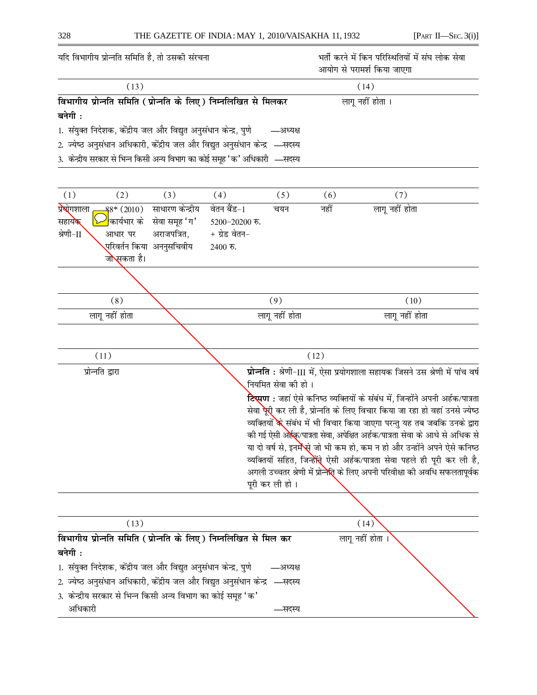| (13)<br>(14)<br>विभागीय प्रोन्नति समिति (प्रोन्नति के लिए) निम्नलिखित से मिलकर<br>लागू नहीं होता ।<br>बनेगी :<br>1. संयुक्त निदेशक, केंद्रीय जल और विद्युत अनुसंधान केन्द्र, पुणे<br>—अध्यक्ष<br>2. ज्येष्ठ अनुसंधान अधिकारी, केंद्रीय जल और विद्युत अनुसंधान केन्द्र  —सदस्य<br>3. केन्द्रीय सरकार से भिन्न किसी अन्य विभाग का कोई समूह 'क' अधिकारी —सदस्य<br>(1)<br>(2)<br>(3)<br>(4)<br>(7)<br>(5)<br>(6)<br>प्रश्रोगशाला<br>वेतन बैंड-1<br>साधारण केन्द्रीय<br>लागू नहीं होता<br>नहीं<br>$8^*$ (2010)<br>चयन<br><mark>'</mark> कार्यभार के<br>सेवा समूह 'ग'<br>सहायक |                                                                                              |  |  |  |  |  |
|--------------------------------------------------------------------------------------------------------------------------------------------------------------------------------------------------------------------------------------------------------------------------------------------------------------------------------------------------------------------------------------------------------------------------------------------------------------------------------------------------------------------------------------------------------------------------|----------------------------------------------------------------------------------------------|--|--|--|--|--|
|                                                                                                                                                                                                                                                                                                                                                                                                                                                                                                                                                                          |                                                                                              |  |  |  |  |  |
|                                                                                                                                                                                                                                                                                                                                                                                                                                                                                                                                                                          |                                                                                              |  |  |  |  |  |
|                                                                                                                                                                                                                                                                                                                                                                                                                                                                                                                                                                          |                                                                                              |  |  |  |  |  |
|                                                                                                                                                                                                                                                                                                                                                                                                                                                                                                                                                                          |                                                                                              |  |  |  |  |  |
|                                                                                                                                                                                                                                                                                                                                                                                                                                                                                                                                                                          |                                                                                              |  |  |  |  |  |
|                                                                                                                                                                                                                                                                                                                                                                                                                                                                                                                                                                          |                                                                                              |  |  |  |  |  |
|                                                                                                                                                                                                                                                                                                                                                                                                                                                                                                                                                                          |                                                                                              |  |  |  |  |  |
| $5200 - 20200$ रु.                                                                                                                                                                                                                                                                                                                                                                                                                                                                                                                                                       |                                                                                              |  |  |  |  |  |
| श्रेणी−∏<br>अराजपत्रित,<br>+ ग्रेड वेतन−<br>आधार पर                                                                                                                                                                                                                                                                                                                                                                                                                                                                                                                      |                                                                                              |  |  |  |  |  |
| <mark>्</mark> परिवर्तन किया  अननुसचिवीय<br>$2400$ रु.                                                                                                                                                                                                                                                                                                                                                                                                                                                                                                                   |                                                                                              |  |  |  |  |  |
| जोसकता है।                                                                                                                                                                                                                                                                                                                                                                                                                                                                                                                                                               |                                                                                              |  |  |  |  |  |
|                                                                                                                                                                                                                                                                                                                                                                                                                                                                                                                                                                          |                                                                                              |  |  |  |  |  |
| (9)<br>(8)<br>(10)                                                                                                                                                                                                                                                                                                                                                                                                                                                                                                                                                       |                                                                                              |  |  |  |  |  |
| लागू नहीं होता<br>लागू नहीं होता<br>लागू नहीं होता                                                                                                                                                                                                                                                                                                                                                                                                                                                                                                                       |                                                                                              |  |  |  |  |  |
|                                                                                                                                                                                                                                                                                                                                                                                                                                                                                                                                                                          |                                                                                              |  |  |  |  |  |
| (11)<br>(12)                                                                                                                                                                                                                                                                                                                                                                                                                                                                                                                                                             |                                                                                              |  |  |  |  |  |
| प्रोन्नति द्वारा<br>नियमित सेवा की हो।                                                                                                                                                                                                                                                                                                                                                                                                                                                                                                                                   | प्रोन्नति : श्रेणी-III में, ऐसा प्रयोगशाला सहायक जिसने उस श्रेणी में पांच वर्ष               |  |  |  |  |  |
| <b>टिप्पण :</b> जहां ऐसे कनिष्ठ व्यक्तियों के संबंध में, जिन्होंने अपनी अर्हक/पात्रता<br>सेवा <mark>ऐूरी</mark> कर ली है, प्रोन्नति के लिए विचार किया जा रहा हो वहां उनसे ज्येष्ठ<br>व्यक्तियों के संबंध में भी विचार किया जाएगा परन्तु यह तब जबकि उनके द्वारा                                                                                                                                                                                                                                                                                                           |                                                                                              |  |  |  |  |  |
| की गई ऐसी अर्हेक्/पात्रता सेवा, अपेक्षित अर्हक/पात्रता सेवा के आधे से अधिक से<br>या दो वर्ष से, इनमे <b>ँसे</b> जो भी कम हो, कम न हो और उन्होंने अपने ऐसे कनिष्ठ                                                                                                                                                                                                                                                                                                                                                                                                         |                                                                                              |  |  |  |  |  |
|                                                                                                                                                                                                                                                                                                                                                                                                                                                                                                                                                                          | व्यक्तियों सहित, जिन्हों <mark>ने</mark> ् ऐसी अर्हक/पात्रता सेवा पहले ही पूरी कर ली है,     |  |  |  |  |  |
|                                                                                                                                                                                                                                                                                                                                                                                                                                                                                                                                                                          | अगली उच्चतर श्रेणी में प्रोन्ने <mark>र</mark> ्ति के लिए अपनी परिवीक्षा की अवधि सफलतापूर्वक |  |  |  |  |  |
| पूरी कर ली हो ।                                                                                                                                                                                                                                                                                                                                                                                                                                                                                                                                                          |                                                                                              |  |  |  |  |  |
|                                                                                                                                                                                                                                                                                                                                                                                                                                                                                                                                                                          |                                                                                              |  |  |  |  |  |
| (13)<br>(14)                                                                                                                                                                                                                                                                                                                                                                                                                                                                                                                                                             |                                                                                              |  |  |  |  |  |
| विभागीय प्रोन्नति समिति (प्रोन्नति के लिए) निम्नलिखित से मिल कर<br>लागू नहीं होता                                                                                                                                                                                                                                                                                                                                                                                                                                                                                        |                                                                                              |  |  |  |  |  |
| बनेगी :                                                                                                                                                                                                                                                                                                                                                                                                                                                                                                                                                                  |                                                                                              |  |  |  |  |  |
| 1. संयुक्त निदेशक, केंद्रीय जल और विद्युत अनुसंधान केन्द्र, पुणे<br>-अध्यक्ष                                                                                                                                                                                                                                                                                                                                                                                                                                                                                             |                                                                                              |  |  |  |  |  |
| 2. ज्येष्ठ अनुसंधान अधिकारी, केंद्रीय जल और विद्युत अनुसंधान केन्द्र  —सदस्य                                                                                                                                                                                                                                                                                                                                                                                                                                                                                             |                                                                                              |  |  |  |  |  |
| 3.  केन्द्रीय सरकार से भिन्न किसी अन्य विभाग का कोई समूह 'क'<br>अधिकारी<br>—सदस्य                                                                                                                                                                                                                                                                                                                                                                                                                                                                                        |                                                                                              |  |  |  |  |  |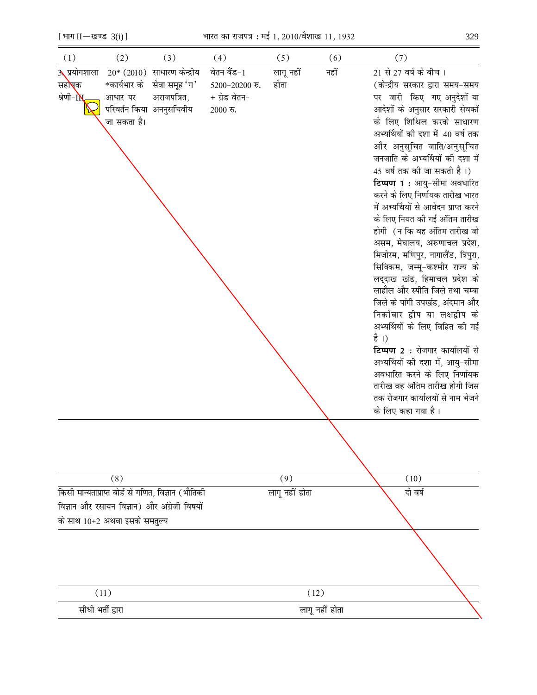[भाग  $II$ —खण्ड 3(i)]

के साथ 10+2 अथवा इसके समतुल्य

 $\equiv$  $(1)$ 

| (1)                 | (2)          | (3)                                                | (4)                | (5)            | (6)  | (7)                                                              |
|---------------------|--------------|----------------------------------------------------|--------------------|----------------|------|------------------------------------------------------------------|
| <b>3 प्रयोगशाला</b> |              | $20*$ (2010) साधारण केन्द्रीय                      | वेतन बैंड-1        | लागू नहीं      | नहीं | 21 से 27 वर्ष के बीच।                                            |
| सह <b>ो्</b> क      | *कार्यभार के | सेवा समूह 'ग'                                      | $5200 - 20200$ रु. | होता           |      | (केन्द्रीय सरकार द्वारा समय-समय                                  |
| श्रेणी-IN           | आधार पर      | अराजपत्रित,                                        | $+$ ग्रेड वेतन–    |                |      | पर जारी किए गए अनुदेशों या                                       |
|                     |              | परिवर्तन किया अननुसचिवीय                           | $2000$ रु.         |                |      | आदेशों के अनुसार सरकारी सेवकों                                   |
|                     | जा सकता है।  |                                                    |                    |                |      | के लिए शिथिल करके साधारण                                         |
|                     |              |                                                    |                    |                |      | अभ्यर्थियों की दशा में 40 वर्ष तक                                |
|                     |              |                                                    |                    |                |      | और अनुसूचित जाति/अनुसूचित                                        |
|                     |              |                                                    |                    |                |      | जनजाति के अभ्यर्थियों की दशा में                                 |
|                     |              |                                                    |                    |                |      | 45 वर्ष तक की जा सकती है।)                                       |
|                     |              |                                                    |                    |                |      | टिप्पण 1 : आयु-सीमा अवधारित                                      |
|                     |              |                                                    |                    |                |      | करने के लिए निर्णायक तारीख भारत                                  |
|                     |              |                                                    |                    |                |      | में अभ्यर्थियों से आवेदन प्राप्त करने                            |
|                     |              |                                                    |                    |                |      | के लिए नियत की गई अंतिम तारीख<br>होगी (न कि वह अंतिम तारीख जो    |
|                     |              |                                                    |                    |                |      | असम, मेघालय, अरुणाचल प्रदेश,                                     |
|                     |              |                                                    |                    |                |      | मिजोरम, मणिपुर, नागालैंड, त्रिपुरा,                              |
|                     |              |                                                    |                    |                |      | सिक्किम, जम्मू-कश्मीर राज्य के                                   |
|                     |              |                                                    |                    |                |      | लद्दाख खंड, हिमाचल प्रदेश के                                     |
|                     |              |                                                    |                    |                |      | लाहौल और स्पीति जिले तथा चम्बा                                   |
|                     |              |                                                    |                    |                |      | जिले के पांगी उपखंड, अंदमान और                                   |
|                     |              |                                                    |                    |                |      | निकोबार द्वीप या लक्षद्वीप के                                    |
|                     |              |                                                    |                    |                |      | अभ्यर्थियों के लिए विहित की गई                                   |
|                     |              |                                                    |                    |                |      | है ।)                                                            |
|                     |              |                                                    |                    |                |      | टिप्पण 2 : रोजगार कार्यालयों से                                  |
|                     |              |                                                    |                    |                |      | अभ्यर्थियों की दशा में, आयु-सीमा<br>अवधारित करने के लिए निर्णायक |
|                     |              |                                                    |                    |                |      | तारीख वह ऑंतम तारीख होगी जिस                                     |
|                     |              |                                                    |                    |                |      | तक रोजगार कार्यालयों से नाम भेजने                                |
|                     |              |                                                    |                    |                |      | के लिए कहा गया है।                                               |
|                     |              |                                                    |                    |                |      |                                                                  |
|                     |              |                                                    |                    |                |      |                                                                  |
|                     |              |                                                    |                    |                |      |                                                                  |
|                     |              |                                                    |                    |                |      |                                                                  |
|                     | (8)          |                                                    |                    | (9)            |      | (10)                                                             |
|                     |              | किसी मान्यताप्राप्त बोर्ड से गणित, विज्ञान (भौतिकी |                    | लागू नहीं होता |      | दो वर्ष                                                          |
|                     |              | विज्ञान और रसायन विज्ञान) और अंग्रेजी विषयों       |                    |                |      |                                                                  |

| (11)              | (12)           |  |
|-------------------|----------------|--|
| सीधी भर्ती द्वारा | लागू नहीं होता |  |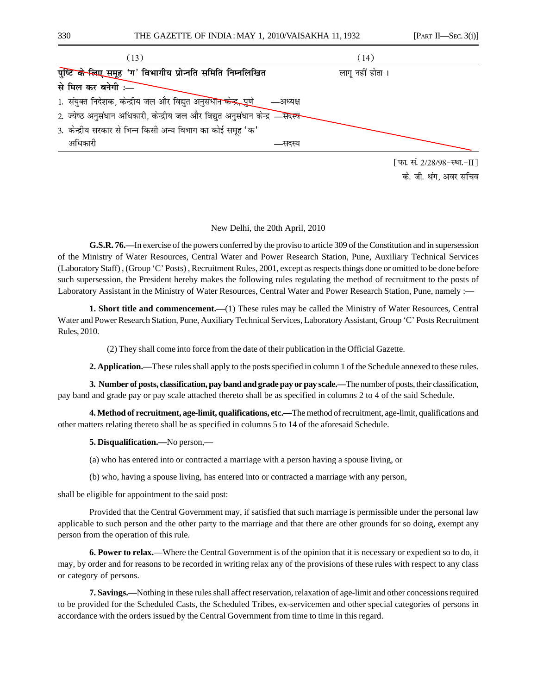

के. जी. थंग. अवर सचिव

## New Delhi, the 20th April, 2010

**G.S.R. 76.—**In exercise of the powers conferred by the proviso to article 309 of the Constitution and in supersession of the Ministry of Water Resources, Central Water and Power Research Station, Pune, Auxiliary Technical Services (Laboratory Staff) , (Group 'C' Posts) , Recruitment Rules, 2001, except as respects things done or omitted to be done before such supersession, the President hereby makes the following rules regulating the method of recruitment to the posts of Laboratory Assistant in the Ministry of Water Resources, Central Water and Power Research Station, Pune, namely :-

**1. Short title and commencement.—**(1) These rules may be called the Ministry of Water Resources, Central Water and Power Research Station, Pune, Auxiliary Technical Services, Laboratory Assistant, Group 'C' Posts Recruitment Rules, 2010.

(2) They shall come into force from the date of their publication in the Official Gazette.

**2. Application.—**These rules shall apply to the posts specified in column 1 of the Schedule annexed to these rules.

**3. Number of posts, classification, pay band and grade pay or pay scale.—**The number of posts, their classification, pay band and grade pay or pay scale attached thereto shall be as specified in columns 2 to 4 of the said Schedule.

**4. Method of recruitment, age-limit, qualifications, etc.—**The method of recruitment, age-limit, qualifications and other matters relating thereto shall be as specified in columns 5 to 14 of the aforesaid Schedule.

## **5. Disqualification.—**No person,—

(a) who has entered into or contracted a marriage with a person having a spouse living, or

(b) who, having a spouse living, has entered into or contracted a marriage with any person,

shall be eligible for appointment to the said post:

Provided that the Central Government may, if satisfied that such marriage is permissible under the personal law applicable to such person and the other party to the marriage and that there are other grounds for so doing, exempt any person from the operation of this rule.

**6. Power to relax.—**Where the Central Government is of the opinion that it is necessary or expedient so to do, it may, by order and for reasons to be recorded in writing relax any of the provisions of these rules with respect to any class or category of persons.

**7. Savings.—**Nothing in these rules shall affect reservation, relaxation of age-limit and other concessions required to be provided for the Scheduled Casts, the Scheduled Tribes, ex-servicemen and other special categories of persons in accordance with the orders issued by the Central Government from time to time in this regard.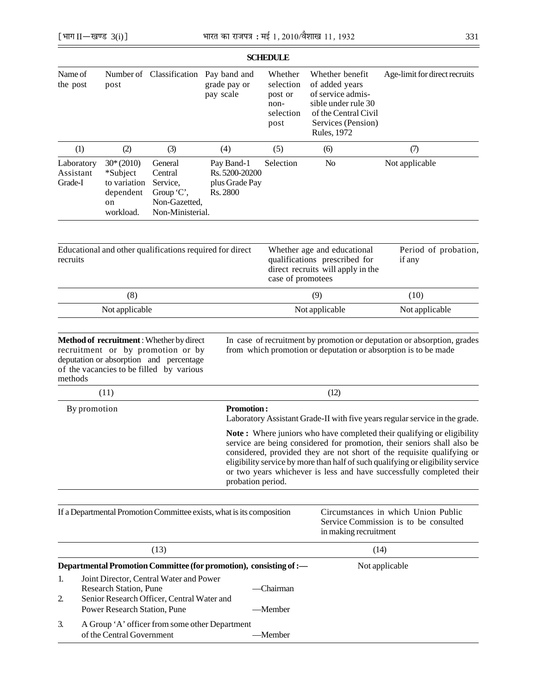|                                                                                                                                                                                |                                                                         |                                                                                   |                                                                       | <b>SCHEDULE</b>                                                                                                        |                                                                                                                                                    |                                                                                                                                                                                                                                                                                                                                                                                        |  |  |
|--------------------------------------------------------------------------------------------------------------------------------------------------------------------------------|-------------------------------------------------------------------------|-----------------------------------------------------------------------------------|-----------------------------------------------------------------------|------------------------------------------------------------------------------------------------------------------------|----------------------------------------------------------------------------------------------------------------------------------------------------|----------------------------------------------------------------------------------------------------------------------------------------------------------------------------------------------------------------------------------------------------------------------------------------------------------------------------------------------------------------------------------------|--|--|
| Name of<br>the post                                                                                                                                                            | post                                                                    |                                                                                   | Number of Classification Pay band and<br>grade pay or<br>pay scale    | Whether<br>selection<br>post or<br>non-<br>selection<br>post                                                           | Whether benefit<br>of added years<br>of service admis-<br>sible under rule 30<br>of the Central Civil<br>Services (Pension)<br><b>Rules</b> , 1972 | Age-limit for direct recruits                                                                                                                                                                                                                                                                                                                                                          |  |  |
| (1)                                                                                                                                                                            | (2)                                                                     | (3)                                                                               | (4)                                                                   | (5)                                                                                                                    | (6)                                                                                                                                                | (7)                                                                                                                                                                                                                                                                                                                                                                                    |  |  |
| Laboratory<br>Assistant<br>Grade-I                                                                                                                                             | $30*(2010)$<br>*Subject<br>to variation<br>dependent<br>on<br>workload. | General<br>Central<br>Service,<br>Group 'C',<br>Non-Gazetted,<br>Non-Ministerial. | Pay Band-1<br>Rs. 5200-20200<br>plus Grade Pay<br>Rs. 2800            | Selection                                                                                                              | N <sub>o</sub>                                                                                                                                     | Not applicable                                                                                                                                                                                                                                                                                                                                                                         |  |  |
| recruits                                                                                                                                                                       |                                                                         | Educational and other qualifications required for direct                          |                                                                       | Whether age and educational<br>qualifications prescribed for<br>direct recruits will apply in the<br>case of promotees |                                                                                                                                                    | Period of probation,<br>if any                                                                                                                                                                                                                                                                                                                                                         |  |  |
|                                                                                                                                                                                | (8)                                                                     |                                                                                   |                                                                       |                                                                                                                        | (9)                                                                                                                                                | (10)                                                                                                                                                                                                                                                                                                                                                                                   |  |  |
|                                                                                                                                                                                | Not applicable                                                          |                                                                                   |                                                                       |                                                                                                                        | Not applicable                                                                                                                                     | Not applicable                                                                                                                                                                                                                                                                                                                                                                         |  |  |
| methods                                                                                                                                                                        | (11)                                                                    | of the vacancies to be filled by various                                          |                                                                       |                                                                                                                        | (12)                                                                                                                                               |                                                                                                                                                                                                                                                                                                                                                                                        |  |  |
| By promotion                                                                                                                                                                   |                                                                         |                                                                                   |                                                                       | <b>Promotion:</b><br>Laboratory Assistant Grade-II with five years regular service in the grade.                       |                                                                                                                                                    |                                                                                                                                                                                                                                                                                                                                                                                        |  |  |
|                                                                                                                                                                                |                                                                         |                                                                                   | probation period.                                                     |                                                                                                                        |                                                                                                                                                    | Note: Where juniors who have completed their qualifying or eligibility<br>service are being considered for promotion, their seniors shall also be<br>considered, provided they are not short of the requisite qualifying or<br>eligibility service by more than half of such qualifying or eligibility service<br>or two years whichever is less and have successfully completed their |  |  |
|                                                                                                                                                                                |                                                                         |                                                                                   | If a Departmental Promotion Committee exists, what is its composition |                                                                                                                        | in making recruitment                                                                                                                              | Circumstances in which Union Public<br>Service Commission is to be consulted                                                                                                                                                                                                                                                                                                           |  |  |
| (13)                                                                                                                                                                           |                                                                         |                                                                                   |                                                                       | (14)                                                                                                                   |                                                                                                                                                    |                                                                                                                                                                                                                                                                                                                                                                                        |  |  |
|                                                                                                                                                                                |                                                                         |                                                                                   | Departmental Promotion Committee (for promotion), consisting of :-    |                                                                                                                        |                                                                                                                                                    | Not applicable                                                                                                                                                                                                                                                                                                                                                                         |  |  |
| Joint Director, Central Water and Power<br>1.<br><b>Research Station, Pune</b><br>Senior Research Officer, Central Water and<br>$\overline{2}$<br>Power Research Station, Pune |                                                                         |                                                                                   | -Chairman<br>-Member                                                  |                                                                                                                        |                                                                                                                                                    |                                                                                                                                                                                                                                                                                                                                                                                        |  |  |
| A Group 'A' officer from some other Department<br>3.<br>of the Central Government                                                                                              |                                                                         |                                                                                   | —Member                                                               |                                                                                                                        |                                                                                                                                                    |                                                                                                                                                                                                                                                                                                                                                                                        |  |  |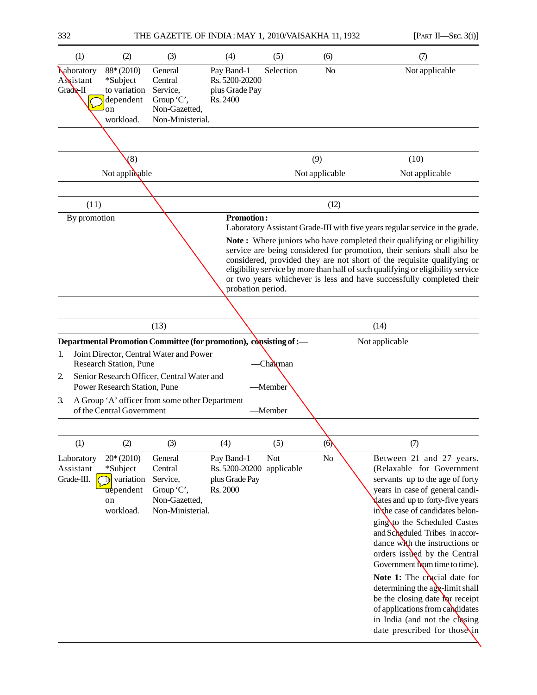